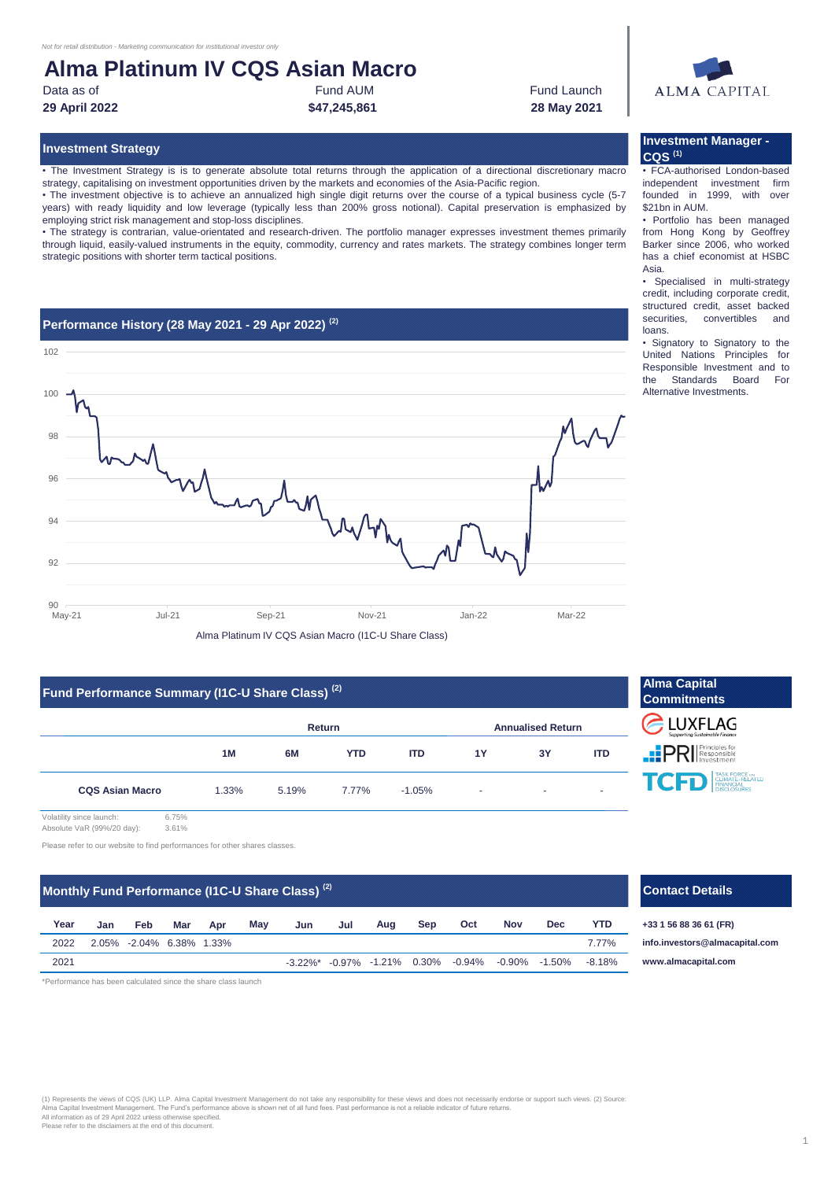## **Alma Platinum IV CQS Asian Macro**

Data as of **Example 2** Fund AUM **Fund AUM** Fund AUM **Fund Launch 29 April 2022 28 May 2021** Fund AUM **\$47,245,861**

# ALMA CAPITAL

• The Investment Strategy is is to generate absolute total returns through the application of a directional discretionary macro strategy, capitalising on investment opportunities driven by the markets and economies of the Asia-Pacific region.

• The investment objective is to achieve an annualized high single digit returns over the course of a typical business cycle (5-7 years) with ready liquidity and low leverage (typically less than 200% gross notional). Capital preservation is emphasized by employing strict risk management and stop-loss disciplines.

• The strategy is contrarian, value-orientated and research-driven. The portfolio manager expresses investment themes primarily through liquid, easily-valued instruments in the equity, commodity, currency and rates markets. The strategy combines longer term strategic positions with shorter term tactical positions.

#### **Performance History (28 May 2021 - 29 Apr 2022) (2)**



#### **Fund Performance Summary (I1C-U Share Class) (2)**

|                        | <b>Return</b> |       |            |            | <b>Annualised Return</b> |    |            |  |
|------------------------|---------------|-------|------------|------------|--------------------------|----|------------|--|
|                        | 1M            | 6M    | <b>YTD</b> | <b>ITD</b> | 1Y                       | 3Y | <b>ITD</b> |  |
| <b>CQS Asian Macro</b> | 1.33%         | 5.19% | 7.77%      | $-1.05%$   | ж.                       |    |            |  |

Volatility since launch: 6.75% Absolute VaR (99%/20 day): 3.61%

Please refer to our website to find performances for other shares classes.

### **Monthly Fund Performance (I1C-U Share Class)<sup>(2)</sup> <b>Contact Details Contact Details Contact Details**

| Year | Jan | Feb                      | Mar | Apr | May | Jun | Jul | Aug | <b>Sep</b> | Oct | <b>Nov</b> | Dec                                                                           | <b>YTD</b> |
|------|-----|--------------------------|-----|-----|-----|-----|-----|-----|------------|-----|------------|-------------------------------------------------------------------------------|------------|
| 2022 |     | 2.05% -2.04% 6.38% 1.33% |     |     |     |     |     |     |            |     |            |                                                                               | 7 7 7 %    |
| 2021 |     |                          |     |     |     |     |     |     |            |     |            | $-3.22\%$ * $-0.97\%$ $-1.21\%$ 0.30% $-0.94\%$ $-0.90\%$ $-1.50\%$ $-8.18\%$ |            |

\*Performance has been calculated since the share class launch

# (1) Represents the views of CQS (UK) LLP. Alma Capital Investment Management do not take any responsibility for these views and does not necessarily endorse or support such views. (2) Source<br>All nformation as of 29 April 2

# **Alma Capital Commitments** CLUXFLAG **PRI** Principles for TO TASK FORCE

**Dec YTD +33 1 56 88 36 61 (FR) [info.in](mailto:info.investors@almacapital.com)vestors@almacapital.com [www.](http://www.almacapital.com/)almacapital.com**

### **Investment Strategy Investment Manager - CQS (1)**

• FCA-authorised London-based independent investment firm founded in 1999 with over \$21bn in AUM.

• Portfolio has been managed from Hong Kong by Geoffrey Barker since 2006, who worked has a chief economist at HSBC Asia.

• Specialised in multi-strategy credit, including corporate credit, structured credit, asset backed securities, convertibles and loans.

• Signatory to Signatory to the United Nations Principles for Responsible Investment and to the Standards Board For Alternative Investments.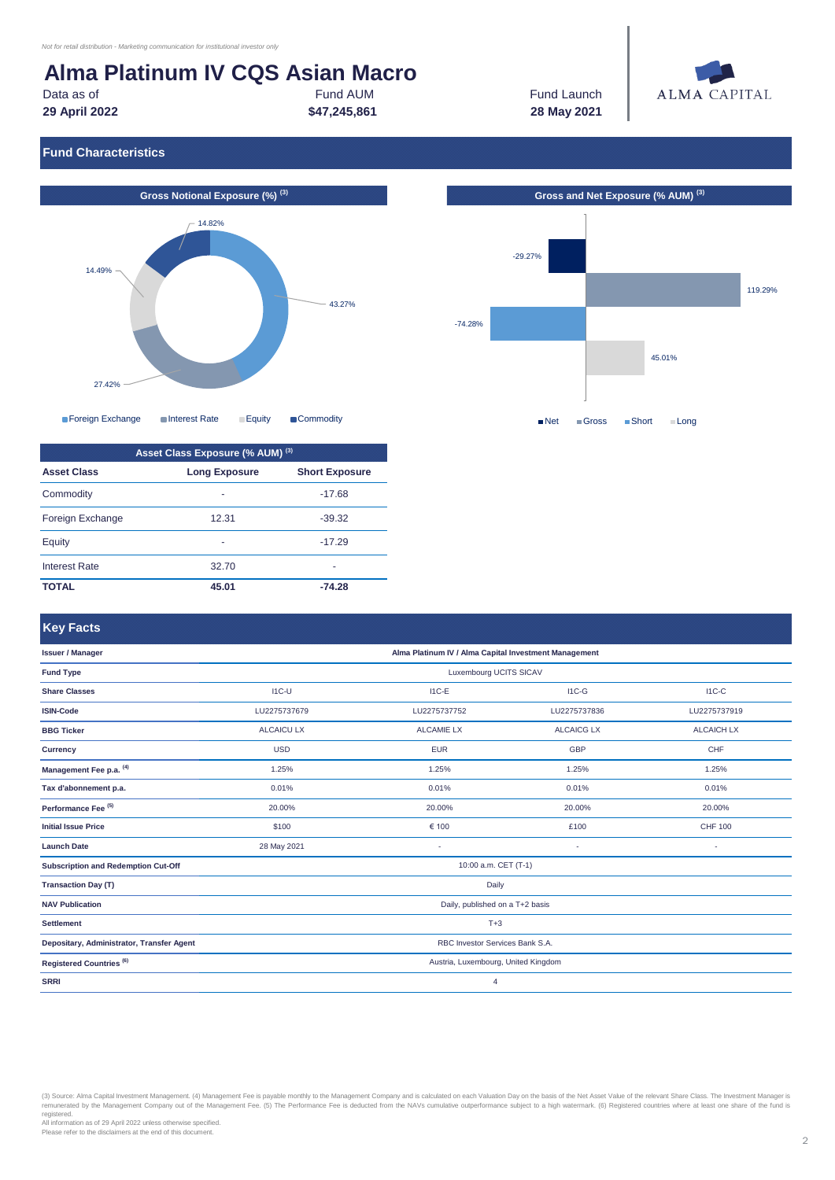# **Alma Platinum IV CQS Asian Macro**

#### Fund AUM **\$47,245,861**

Data as of **Fund AUM Example 20** Fund AUM **Fund Launch Fund Launch 29 April 2022 28 May 2021**



### **Fund Characteristics**





| Asset Class Exposure (% AUM) (3) |                      |                       |  |  |  |  |
|----------------------------------|----------------------|-----------------------|--|--|--|--|
| <b>Asset Class</b>               | <b>Long Exposure</b> | <b>Short Exposure</b> |  |  |  |  |
| Commodity                        | ۰                    | $-17.68$              |  |  |  |  |
| Foreign Exchange                 | 12.31                | $-39.32$              |  |  |  |  |
| Equity                           | ۰                    | $-17.29$              |  |  |  |  |
| <b>Interest Rate</b>             | 32.70                | ۰                     |  |  |  |  |
| ΤΟΤΑL                            | 45.01                | $-74.28$              |  |  |  |  |



### **Key Facts**

| <b>Issuer / Manager</b>                    | Alma Platinum IV / Alma Capital Investment Management |                   |                   |                   |  |  |  |  |
|--------------------------------------------|-------------------------------------------------------|-------------------|-------------------|-------------------|--|--|--|--|
| <b>Fund Type</b>                           | Luxembourg UCITS SICAV                                |                   |                   |                   |  |  |  |  |
| <b>Share Classes</b>                       | $IC-U$                                                | $I1C-E$           | $IC-G$            | $IC-C$            |  |  |  |  |
| <b>ISIN-Code</b>                           | LU2275737679                                          | LU2275737752      | LU2275737836      | LU2275737919      |  |  |  |  |
| <b>BBG Ticker</b>                          | <b>ALCAICU LX</b>                                     | <b>ALCAMIE LX</b> | <b>ALCAICG LX</b> | <b>ALCAICH LX</b> |  |  |  |  |
| <b>Currency</b>                            | <b>USD</b>                                            | <b>EUR</b>        | <b>GBP</b>        | CHF               |  |  |  |  |
| Management Fee p.a. (4)                    | 1.25%                                                 | 1.25%             | 1.25%             | 1.25%             |  |  |  |  |
| Tax d'abonnement p.a.                      | 0.01%                                                 | 0.01%             | 0.01%             | 0.01%             |  |  |  |  |
| Performance Fee <sup>(5)</sup>             | 20.00%                                                | 20.00%            | 20.00%            | 20.00%            |  |  |  |  |
| <b>Initial Issue Price</b>                 | \$100                                                 | € 100             | £100              | <b>CHF 100</b>    |  |  |  |  |
| <b>Launch Date</b>                         | 28 May 2021                                           | $\sim$            | $\sim$            |                   |  |  |  |  |
| <b>Subscription and Redemption Cut-Off</b> | 10:00 a.m. CET (T-1)                                  |                   |                   |                   |  |  |  |  |
| <b>Transaction Day (T)</b>                 | Daily                                                 |                   |                   |                   |  |  |  |  |
| <b>NAV Publication</b>                     | Daily, published on a T+2 basis                       |                   |                   |                   |  |  |  |  |
| <b>Settlement</b>                          | $T+3$                                                 |                   |                   |                   |  |  |  |  |
| Depositary, Administrator, Transfer Agent  | RBC Investor Services Bank S.A.                       |                   |                   |                   |  |  |  |  |
| Registered Countries <sup>(6)</sup>        | Austria, Luxembourg, United Kingdom                   |                   |                   |                   |  |  |  |  |
| <b>SRRI</b>                                | $\overline{4}$                                        |                   |                   |                   |  |  |  |  |

(3) Source: Alma Capital Investment Management. (4) Management Fee is payable monthly to the Management Company and is calculated on each Valuation Day on the basis of the Net Asset Value of the relevant Share Class. The I

registered. All information as of 29 April 2022 unless otherwise specified. Please refer to the disclaimers at the end of this document.